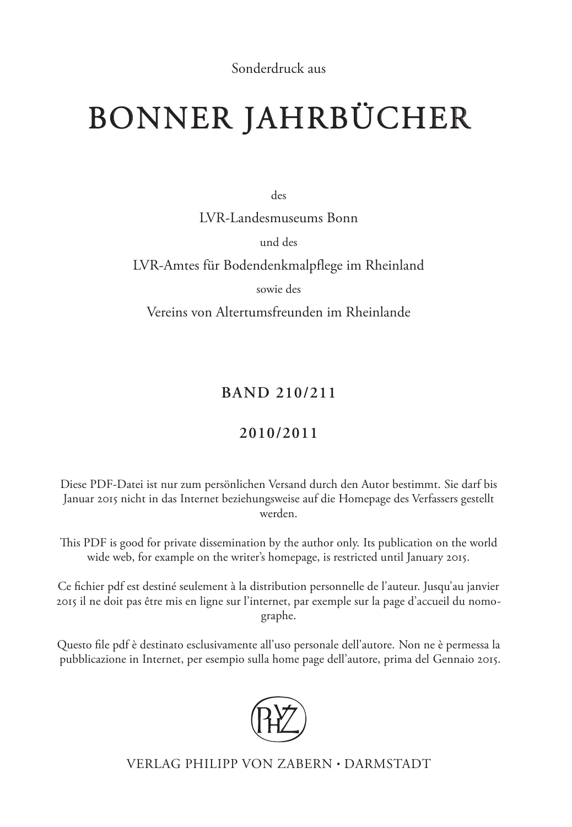Sonderdruck aus

# BONNER JAHRBÜCHER

des

LVR-Landesmuseums Bonn

und des

LVR-Amtes für Bodendenkmalpflege im Rheinland

sowie des

Vereins von Altertumsfreunden im Rheinlande

## **Band 210/211**

## **2010/2011**

Diese PDF-Datei ist nur zum persönlichen Versand durch den Autor bestimmt. Sie darf bis Januar 2015 nicht in das Internet beziehungsweise auf die Homepage des Verfassers gestellt werden.

This PDF is good for private dissemination by the author only. Its publication on the world wide web, for example on the writer's homepage, is restricted until January 2015.

Ce fichier pdf est destiné seulement à la distribution personnelle de l'auteur. Jusqu'au janvier 2015 il ne doit pas être mis en ligne sur l'internet, par exemple sur la page d'accueil du nomographe.

Questo file pdf è destinato esclusivamente all'uso personale dell'autore. Non ne è permessa la pubblicazione in Internet, per esempio sulla home page dell'autore, prima del Gennaio 2015.



Verlag Philipp von Zabern • Darmstadt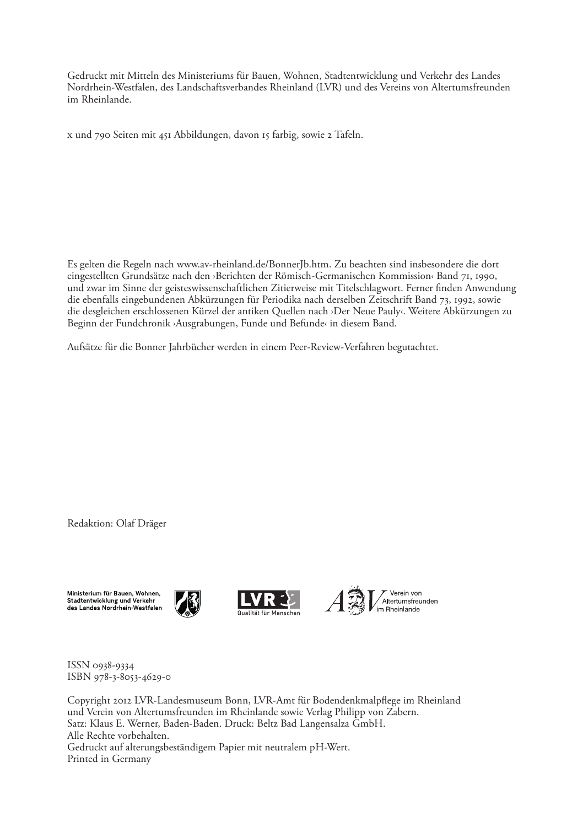Gedruckt mit Mitteln des Ministeriums für Bauen, Wohnen, Stadtentwicklung und Verkehr des Landes Nordrhein-Westfalen, des Landschaftsverbandes Rheinland (LVR) und des Vereins von Altertumsfreunden im Rheinlande.

X und 790 Seiten mit 451 Abbildungen, davon 15 farbig, sowie 2 Tafeln.

Es gelten die Regeln nach www.av-rheinland.de/BonnerJb.htm. Zu beachten sind insbesondere die dort eingestellten Grundsätze nach den ›Berichten der Römisch-Germanischen Kommission‹ Band 71, 1990, und zwar im Sinne der geisteswissenschaftlichen Zitierweise mit Titelschlagwort. Ferner finden Anwendung die ebenfalls eingebundenen Abkürzungen für Periodika nach derselben Zeitschrift Band 73, 1992, sowie die desgleichen erschlossenen Kürzel der antiken Quellen nach ›Der Neue Pauly‹. Weitere Abkürzungen zu Beginn der Fundchronik ›Ausgrabungen, Funde und Befunde‹ in diesem Band.

Aufsätze für die Bonner Jahrbücher werden in einem Peer-Review-Verfahren begutachtet.

Redaktion: Olaf Dräger

Ministerium für Bauen. Wohnen. Stadtentwicklung und Verkehr des Landes Nordrhein-Westfalen







ISSN 0938-9334 ISBN 978-3-8053-4629-0

Copyright 2012 LVR-Landesmuseum Bonn, LVR-Amt für Bodendenkmalpflege im Rheinland und Verein von Altertumsfreunden im Rheinlande sowie Verlag Philipp von Zabern. Satz: Klaus E. Werner, Baden-Baden. Druck: Beltz Bad Langensalza GmbH. Alle Rechte vorbehalten. Gedruckt auf alterungsbeständigem Papier mit neutralem pH-Wert. Printed in Germany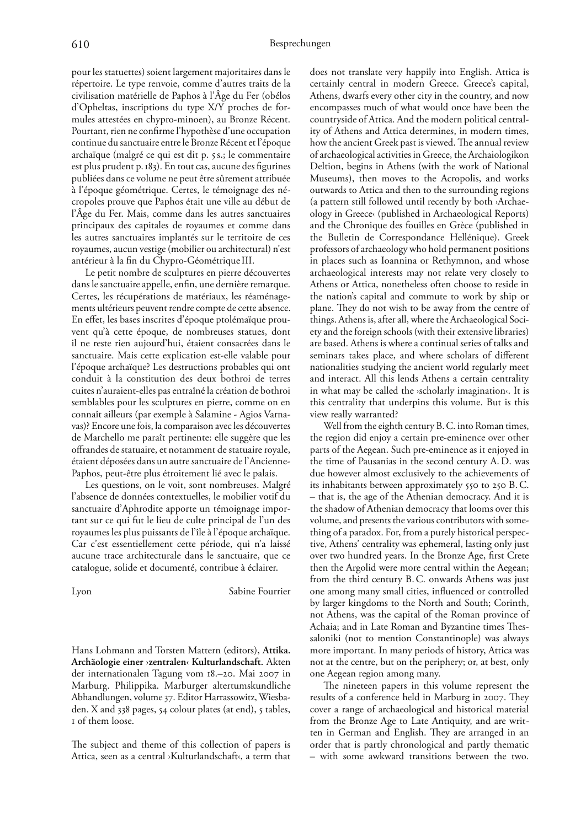pour les statuettes) soient largement majoritaires dans le répertoire. Le type renvoie, comme d'autres traits de la civilisation matérielle de Paphos à l'Âge du Fer (obélos d'Opheltas, inscriptions du type X/Y proches de formules attestées en chypro-minoen), au Bronze Récent. Pourtant, rien ne confirme l'hypothèse d'une occupation continue du sanctuaire entre le Bronze Récent et l'époque archaïque (malgré ce qui est dit p. 5s.; le commentaire est plus prudent p. 183). En tout cas, aucune des figurines publiées dans ce volume ne peut être sûrement attribuée à l'époque géométrique. Certes, le témoignage des nécropoles prouve que Paphos était une ville au début de l'Âge du Fer. Mais, comme dans les autres sanctuaires principaux des capitales de royaumes et comme dans les autres sanctuaires implantés sur le territoire de ces royaumes, aucun vestige (mobilier ou architectural) n'est antérieur à la fin du Chypro-Géométrique III.

Le petit nombre de sculptures en pierre découvertes dans le sanctuaire appelle, enfin, une dernière remarque. Certes, les récupérations de matériaux, les réaménagements ultérieurs peuvent rendre compte de cette absence. En effet, les bases inscrites d'époque ptolémaïque prouvent qu'à cette époque, de nombreuses statues, dont il ne reste rien aujourd'hui, étaient consacrées dans le sanctuaire. Mais cette explication est-elle valable pour l'époque archaïque? Les destructions probables qui ont conduit à la constitution des deux bothroi de terres cuites n'auraient-elles pas entraîné la création de bothroi semblables pour les sculptures en pierre, comme on en connaît ailleurs (par exemple à Salamine - Agios Varnavas)? Encore une fois, la comparaison avec les découvertes de Marchello me paraît pertinente: elle suggère que les offrandes de statuaire, et notamment de statuaire royale, étaient déposées dans un autre sanctuaire de l'Ancienne-Paphos, peut-être plus étroitement lié avec le palais.

Les questions, on le voit, sont nombreuses. Malgré l'absence de données contextuelles, le mobilier votif du sanctuaire d'Aphrodite apporte un témoignage important sur ce qui fut le lieu de culte principal de l'un des royaumes les plus puissants de l'île à l'époque archaïque. Car c'est essentiellement cette période, qui n'a laissé aucune trace architecturale dans le sanctuaire, que ce catalogue, solide et documenté, contribue à éclairer.

Lyon Sabine Fourrier

Hans Lohmann and Torsten Mattern (editors), **Attika. Archäologie einer ›zentralen‹ Kulturlandschaft.** Akten der internationalen Tagung vom 18.–20. Mai 2007 in Marburg. Philippika. Marburger altertumskundliche Abhandlungen, volume 37. Editor Harrassowitz, Wiesbaden. X and 338 pages, 54 colour plates (at end), 5 tables, of them loose.

The subject and theme of this collection of papers is Attica, seen as a central ›Kulturlandschaft‹, a term that does not translate very happily into English. Attica is certainly central in modern Greece. Greece's capital, Athens, dwarfs every other city in the country, and now encompasses much of what would once have been the countryside of Attica. And the modern political centrality of Athens and Attica determines, in modern times, how the ancient Greek past is viewed. The annual review of archaeological activities in Greece, the Archaiologikon Deltion, begins in Athens (with the work of National Museums), then moves to the Acropolis, and works outwards to Attica and then to the surrounding regions (a pattern still followed until recently by both ›Archaeology in Greece‹ (published in Archaeological Reports) and the Chronique des fouilles en Grèce (published in the Bulletin de Correspondance Hellénique). Greek professors of archaeology who hold permanent positions in places such as Ioannina or Rethymnon, and whose archaeological interests may not relate very closely to Athens or Attica, nonetheless often choose to reside in the nation's capital and commute to work by ship or plane. They do not wish to be away from the centre of things. Athens is, after all, where the Archaeological Society and the foreign schools (with their extensive libraries) are based. Athens is where a continual series of talks and seminars takes place, and where scholars of different nationalities studying the ancient world regularly meet and interact. All this lends Athens a certain centrality in what may be called the ›scholarly imagination‹. It is this centrality that underpins this volume. But is this view really warranted?

Well from the eighth century B. C. into Roman times, the region did enjoy a certain pre-eminence over other parts of the Aegean. Such pre-eminence as it enjoyed in the time of Pausanias in the second century A. D. was due however almost exclusively to the achievements of its inhabitants between approximately 550 to 250 B.C. – that is, the age of the Athenian democracy. And it is the shadow of Athenian democracy that looms over this volume, and presents the various contributors with something of a paradox. For, from a purely historical perspective, Athens' centrality was ephemeral, lasting only just over two hundred years. In the Bronze Age, first Crete then the Argolid were more central within the Aegean; from the third century B. C. onwards Athens was just one among many small cities, influenced or controlled by larger kingdoms to the North and South; Corinth, not Athens, was the capital of the Roman province of Achaia; and in Late Roman and Byzantine times Thessaloniki (not to mention Constantinople) was always more important. In many periods of history, Attica was not at the centre, but on the periphery; or, at best, only one Aegean region among many.

The nineteen papers in this volume represent the results of a conference held in Marburg in 2007. They cover a range of archaeological and historical material from the Bronze Age to Late Antiquity, and are written in German and English. They are arranged in an order that is partly chronological and partly thematic – with some awkward transitions between the two.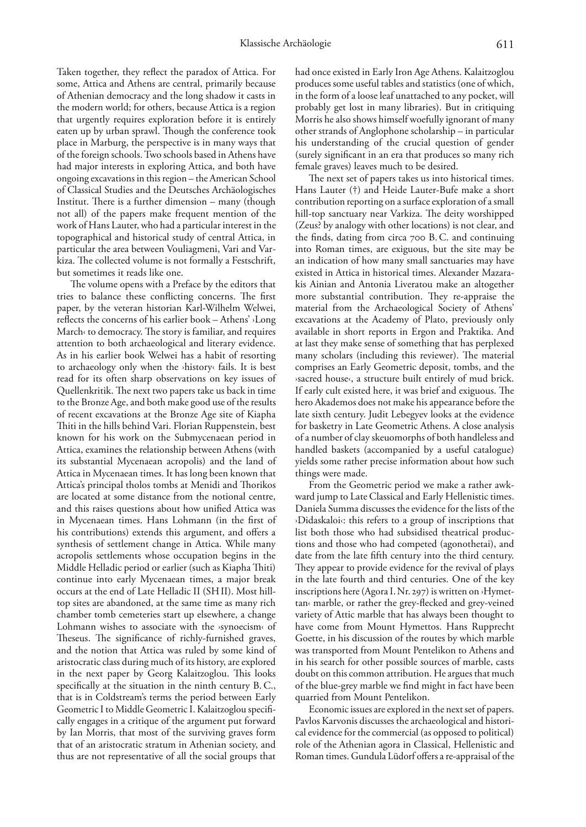Taken together, they reflect the paradox of Attica. For some, Attica and Athens are central, primarily because of Athenian democracy and the long shadow it casts in the modern world; for others, because Attica is a region that urgently requires exploration before it is entirely eaten up by urban sprawl. Though the conference took place in Marburg, the perspective is in many ways that of the foreign schools. Two schools based in Athens have had major interests in exploring Attica, and both have ongoing excavations in this region – the American School of Classical Studies and the Deutsches Archäologisches Institut. There is a further dimension – many (though not all) of the papers make frequent mention of the work of Hans Lauter, who had a particular interest in the topographical and historical study of central Attica, in particular the area between Vouliagmeni, Vari and Varkiza. The collected volume is not formally a Festschrift, but sometimes it reads like one.

The volume opens with a Preface by the editors that tries to balance these conflicting concerns. The first paper, by the veteran historian Karl-Wilhelm Welwei, reflects the concerns of his earlier book – Athens' ›Long March‹ to democracy. The story is familiar, and requires attention to both archaeological and literary evidence. As in his earlier book Welwei has a habit of resorting to archaeology only when the ›history‹ fails. It is best read for its often sharp observations on key issues of Quellenkritik. The next two papers take us back in time to the Bronze Age, and both make good use of the results of recent excavations at the Bronze Age site of Kiapha Thiti in the hills behind Vari. Florian Ruppenstein, best known for his work on the Submycenaean period in Attica, examines the relationship between Athens (with its substantial Mycenaean acropolis) and the land of Attica in Mycenaean times. It has long been known that Attica's principal tholos tombs at Menidi and Thorikos are located at some distance from the notional centre, and this raises questions about how unified Attica was in Mycenaean times. Hans Lohmann (in the first of his contributions) extends this argument, and offers a synthesis of settlement change in Attica. While many acropolis settlements whose occupation begins in the Middle Helladic period or earlier (such as Kiapha Thiti) continue into early Mycenaean times, a major break occurs at the end of Late Helladic II (SH II). Most hilltop sites are abandoned, at the same time as many rich chamber tomb cemeteries start up elsewhere, a change Lohmann wishes to associate with the ›synoecism‹ of Theseus. The significance of richly-furnished graves, and the notion that Attica was ruled by some kind of aristocratic class during much of its history, are explored in the next paper by Georg Kalaitzoglou. This looks specifically at the situation in the ninth century B. C., that is in Coldstream's terms the period between Early Geometric I to Middle Geometric I. Kalaitzoglou specifically engages in a critique of the argument put forward by Ian Morris, that most of the surviving graves form that of an aristocratic stratum in Athenian society, and thus are not representative of all the social groups that

had once existed in Early Iron Age Athens. Kalaitzoglou produces some useful tables and statistics (one of which, in the form of a loose leaf unattached to any pocket, will probably get lost in many libraries). But in critiquing Morris he also shows himself woefully ignorant of many other strands of Anglophone scholarship – in particular his understanding of the crucial question of gender (surely significant in an era that produces so many rich female graves) leaves much to be desired.

The next set of papers takes us into historical times. Hans Lauter (†) and Heide Lauter-Bufe make a short contribution reporting on a surface exploration of a small hill-top sanctuary near Varkiza. The deity worshipped (Zeus? by analogy with other locations) is not clear, and the finds, dating from circa 700 B.C. and continuing into Roman times, are exiguous, but the site may be an indication of how many small sanctuaries may have existed in Attica in historical times. Alexander Mazarakis Ainian and Antonia Liveratou make an altogether more substantial contribution. They re-appraise the material from the Archaeological Society of Athens' excavations at the Academy of Plato, previously only available in short reports in Ergon and Praktika. And at last they make sense of something that has perplexed many scholars (including this reviewer). The material comprises an Early Geometric deposit, tombs, and the ›sacred house‹, a structure built entirely of mud brick. If early cult existed here, it was brief and exiguous. The hero Akademos does not make his appearance before the late sixth century. Judit Lebegyev looks at the evidence for basketry in Late Geometric Athens. A close analysis of a number of clay skeuomorphs of both handleless and handled baskets (accompanied by a useful catalogue) yields some rather precise information about how such things were made.

From the Geometric period we make a rather awkward jump to Late Classical and Early Hellenistic times. Daniela Summa discusses the evidence for the lists of the ›Didaskaloi‹: this refers to a group of inscriptions that list both those who had subsidised theatrical productions and those who had competed (agonothetai), and date from the late fifth century into the third century. They appear to provide evidence for the revival of plays in the late fourth and third centuries. One of the key inscriptions here (Agora I. Nr. 297) is written on >Hymettan‹ marble, or rather the grey-flecked and grey-veined variety of Attic marble that has always been thought to have come from Mount Hymettos. Hans Rupprecht Goette, in his discussion of the routes by which marble was transported from Mount Pentelikon to Athens and in his search for other possible sources of marble, casts doubt on this common attribution. He argues that much of the blue-grey marble we find might in fact have been quarried from Mount Pentelikon.

Economic issues are explored in the next set of papers. Pavlos Karvonis discusses the archaeological and historical evidence for the commercial (as opposed to political) role of the Athenian agora in Classical, Hellenistic and Roman times. Gundula Lüdorf offers a re-appraisal of the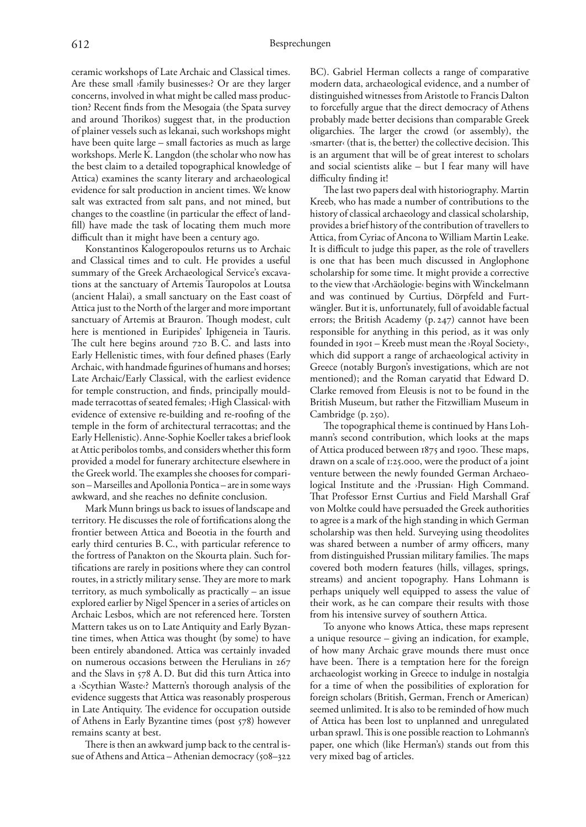ceramic workshops of Late Archaic and Classical times. Are these small ›family businesses‹? Or are they larger concerns, involved in what might be called mass production? Recent finds from the Mesogaia (the Spata survey and around Thorikos) suggest that, in the production of plainer vessels such as lekanai, such workshops might have been quite large – small factories as much as large workshops. Merle K. Langdon (the scholar who now has the best claim to a detailed topographical knowledge of Attica) examines the scanty literary and archaeological evidence for salt production in ancient times. We know salt was extracted from salt pans, and not mined, but changes to the coastline (in particular the effect of landfill) have made the task of locating them much more difficult than it might have been a century ago.

Konstantinos Kalogeropoulos returns us to Archaic and Classical times and to cult. He provides a useful summary of the Greek Archaeological Service's excavations at the sanctuary of Artemis Tauropolos at Loutsa (ancient Halai), a small sanctuary on the East coast of Attica just to the North of the larger and more important sanctuary of Artemis at Brauron. Though modest, cult here is mentioned in Euripides' Iphigeneia in Tauris. The cult here begins around 720 B.C. and lasts into Early Hellenistic times, with four defined phases (Early Archaic, with handmade figurines of humans and horses; Late Archaic/Early Classical, with the earliest evidence for temple construction, and finds, principally mouldmade terracottas of seated females; ›High Classical‹ with evidence of extensive re-building and re-roofing of the temple in the form of architectural terracottas; and the Early Hellenistic). Anne-Sophie Koeller takes a brief look at Attic peribolos tombs, and considers whether this form provided a model for funerary architecture elsewhere in the Greek world. The examples she chooses for comparison – Marseilles and Apollonia Pontica – are in some ways awkward, and she reaches no definite conclusion.

Mark Munn brings us back to issues of landscape and territory. He discusses the role of fortifications along the frontier between Attica and Boeotia in the fourth and early third centuries B. C., with particular reference to the fortress of Panakton on the Skourta plain. Such fortifications are rarely in positions where they can control routes, in a strictly military sense. They are more to mark territory, as much symbolically as practically – an issue explored earlier by Nigel Spencer in a series of articles on Archaic Lesbos, which are not referenced here. Torsten Mattern takes us on to Late Antiquity and Early Byzantine times, when Attica was thought (by some) to have been entirely abandoned. Attica was certainly invaded on numerous occasions between the Herulians in and the Slavs in  $578$  A.D. But did this turn Attica into a ›Scythian Waste‹? Mattern's thorough analysis of the evidence suggests that Attica was reasonably prosperous in Late Antiquity. The evidence for occupation outside of Athens in Early Byzantine times (post 578) however remains scanty at best.

There is then an awkward jump back to the central issue of Athens and Attica – Athenian democracy ( $508 - 322$ 

BC). Gabriel Herman collects a range of comparative modern data, archaeological evidence, and a number of distinguished witnesses from Aristotle to Francis Dalton to forcefully argue that the direct democracy of Athens probably made better decisions than comparable Greek oligarchies. The larger the crowd (or assembly), the  $\alpha$ smarter‹ (that is, the better) the collective decision. This is an argument that will be of great interest to scholars and social scientists alike – but I fear many will have difficulty finding it!

The last two papers deal with historiography. Martin Kreeb, who has made a number of contributions to the history of classical archaeology and classical scholarship, provides a brief history of the contribution of travellers to Attica, from Cyriac of Ancona to William Martin Leake. It is difficult to judge this paper, as the role of travellers is one that has been much discussed in Anglophone scholarship for some time. It might provide a corrective to the view that ›Archäologie‹ begins with Winckelmann and was continued by Curtius, Dörpfeld and Furtwängler. But it is, unfortunately, full of avoidable factual errors; the British Academy  $(p. 247)$  cannot have been responsible for anything in this period, as it was only founded in – Kreeb must mean the ›Royal Society‹, which did support a range of archaeological activity in Greece (notably Burgon's investigations, which are not mentioned); and the Roman caryatid that Edward D. Clarke removed from Eleusis is not to be found in the British Museum, but rather the Fitzwilliam Museum in Cambridge (p. 250).

The topographical theme is continued by Hans Lohmann's second contribution, which looks at the maps of Attica produced between 1875 and 1900. These maps, drawn on a scale of 1:25.000, were the product of a joint venture between the newly founded German Archaeological Institute and the ›Prussian‹ High Command. That Professor Ernst Curtius and Field Marshall Graf von Moltke could have persuaded the Greek authorities to agree is a mark of the high standing in which German scholarship was then held. Surveying using theodolites was shared between a number of army officers, many from distinguished Prussian military families. The maps covered both modern features (hills, villages, springs, streams) and ancient topography. Hans Lohmann is perhaps uniquely well equipped to assess the value of their work, as he can compare their results with those from his intensive survey of southern Attica.

To anyone who knows Attica, these maps represent a unique resource – giving an indication, for example, of how many Archaic grave mounds there must once have been. There is a temptation here for the foreign archaeologist working in Greece to indulge in nostalgia for a time of when the possibilities of exploration for foreign scholars (British, German, French or American) seemed unlimited. It is also to be reminded of how much of Attica has been lost to unplanned and unregulated urban sprawl. This is one possible reaction to Lohmann's paper, one which (like Herman's) stands out from this very mixed bag of articles.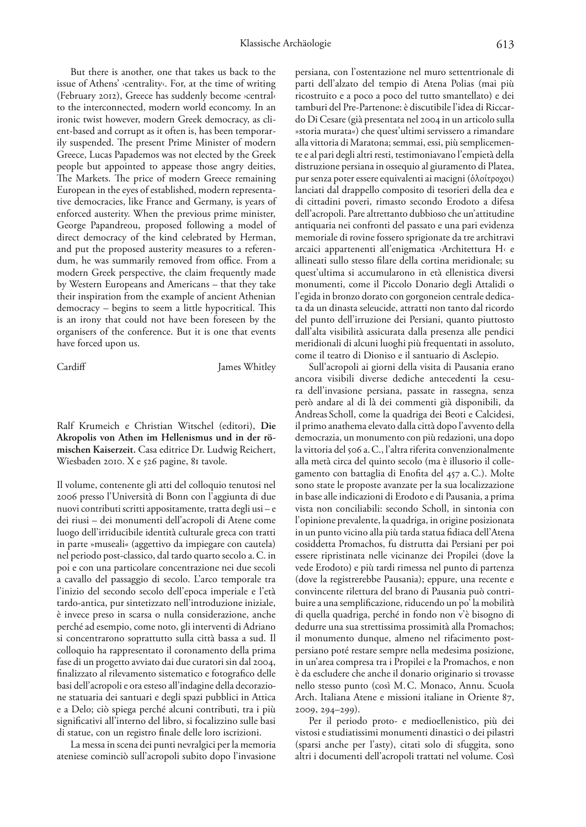But there is another, one that takes us back to the issue of Athens' ›centrality‹. For, at the time of writing (February 2012), Greece has suddenly become ›central‹ to the interconnected, modern world econcomy. In an ironic twist however, modern Greek democracy, as client-based and corrupt as it often is, has been temporarily suspended. The present Prime Minister of modern Greece, Lucas Papademos was not elected by the Greek people but appointed to appease those angry deities, The Markets. The price of modern Greece remaining European in the eyes of established, modern representative democracies, like France and Germany, is years of enforced austerity. When the previous prime minister, George Papandreou, proposed following a model of direct democracy of the kind celebrated by Herman, and put the proposed austerity measures to a referendum, he was summarily removed from office. From a modern Greek perspective, the claim frequently made by Western Europeans and Americans – that they take their inspiration from the example of ancient Athenian  $democracy - begins to seem a little hypothetical. This$ is an irony that could not have been foreseen by the organisers of the conference. But it is one that events have forced upon us.

Cardiff James Whitley

Ralf Krumeich e Christian Witschel (editori), **Die Akropolis von Athen im Hellenismus und in der römischen Kaiserzeit.** Casa editrice Dr. Ludwig Reichert, Wiesbaden 2010. X e 526 pagine, 81 tavole.

Il volume, contenente gli atti del colloquio tenutosi nel presso l'Università di Bonn con l'aggiunta di due nuovi contributi scritti appositamente, tratta degli usi – e dei riusi – dei monumenti dell'acropoli di Atene come luogo dell'irriducibile identità culturale greca con tratti in parte »museali« (aggettivo da impiegare con cautela) nel periodo post-classico, dal tardo quarto secolo a. C. in poi e con una particolare concentrazione nei due secoli a cavallo del passaggio di secolo. L'arco temporale tra l'inizio del secondo secolo dell'epoca imperiale e l'età tardo-antica, pur sintetizzato nell'introduzione iniziale, è invece preso in scarsa o nulla considerazione, anche perché ad esempio, come noto, gli interventi di Adriano si concentrarono soprattutto sulla città bassa a sud. Il colloquio ha rappresentato il coronamento della prima fase di un progetto avviato dai due curatori sin dal 2004, finalizzato al rilevamento sistematico e fotografico delle basi dell'acropoli e ora esteso all'indagine della decorazione statuaria dei santuari e degli spazi pubblici in Attica e a Delo; ciò spiega perché alcuni contributi, tra i più significativi all'interno del libro, si focalizzino sulle basi di statue, con un registro finale delle loro iscrizioni.

La messa in scena dei punti nevralgici per la memoria ateniese cominciò sull'acropoli subito dopo l'invasione persiana, con l'ostentazione nel muro settentrionale di parti dell'alzato del tempio di Atena Polias (mai più ricostruito e a poco a poco del tutto smantellato) e dei tamburi del Pre-Partenone: è discutibile l'idea di Riccardo Di Cesare (già presentata nel 2004 in un articolo sulla »storia murata«) che quest'ultimi servissero a rimandare alla vittoria di Maratona; semmai, essi, più semplicemente e al pari degli altri resti, testimoniavano l'empietà della distruzione persiana in ossequio al giuramento di Platea, pur senza poter essere equivalenti ai macigni (ὁλοίτροχοι) lanciati dal drappello composito di tesorieri della dea e di cittadini poveri, rimasto secondo Erodoto a difesa dell'acropoli. Pare altrettanto dubbioso che un'attitudine antiquaria nei confronti del passato e una pari evidenza memoriale di rovine fossero sprigionate da tre architravi arcaici appartenenti all'enigmatica ›Architettura H‹ e allineati sullo stesso filare della cortina meridionale; su quest'ultima si accumularono in età ellenistica diversi monumenti, come il Piccolo Donario degli Attalidi o l'egida in bronzo dorato con gorgoneion centrale dedicata da un dinasta seleucide, attratti non tanto dal ricordo del punto dell'irruzione dei Persiani, quanto piuttosto dall'alta visibilità assicurata dalla presenza alle pendici meridionali di alcuni luoghi più frequentati in assoluto, come il teatro di Dioniso e il santuario di Asclepio.

Sull'acropoli ai giorni della visita di Pausania erano ancora visibili diverse dediche antecedenti la cesura dell'invasione persiana, passate in rassegna, senza però andare al di là dei commenti già disponibili, da Andreas Scholl, come la quadriga dei Beoti e Calcidesi, il primo anathema elevato dalla città dopo l'avvento della democrazia, un monumento con più redazioni, una dopo la vittoria del 506 a.C., l'altra riferita convenzionalmente alla metà circa del quinto secolo (ma è illusorio il collegamento con battaglia di Enofita del 457 a.C.). Molte sono state le proposte avanzate per la sua localizzazione in base alle indicazioni di Erodoto e di Pausania, a prima vista non conciliabili: secondo Scholl, in sintonia con l'opinione prevalente, la quadriga, in origine posizionata in un punto vicino alla più tarda statua fidiaca dell'Atena cosiddetta Promachos, fu distrutta dai Persiani per poi essere ripristinata nelle vicinanze dei Propilei (dove la vede Erodoto) e più tardi rimessa nel punto di partenza (dove la registrerebbe Pausania); eppure, una recente e convincente rilettura del brano di Pausania può contribuire a una semplificazione, riducendo un po' la mobilità di quella quadriga, perché in fondo non v'è bisogno di dedurre una sua strettissima prossimità alla Promachos; il monumento dunque, almeno nel rifacimento postpersiano poté restare sempre nella medesima posizione, in un'area compresa tra i Propilei e la Promachos, e non è da escludere che anche il donario originario si trovasse nello stesso punto (così M. C. Monaco, Annu. Scuola Arch. Italiana Atene e missioni italiane in Oriente 87,  $2009, 294 - 299$ ).

Per il periodo proto- e medioellenistico, più dei vistosi e studiatissimi monumenti dinastici o dei pilastri (sparsi anche per l'asty), citati solo di sfuggita, sono altri i documenti dell'acropoli trattati nel volume. Così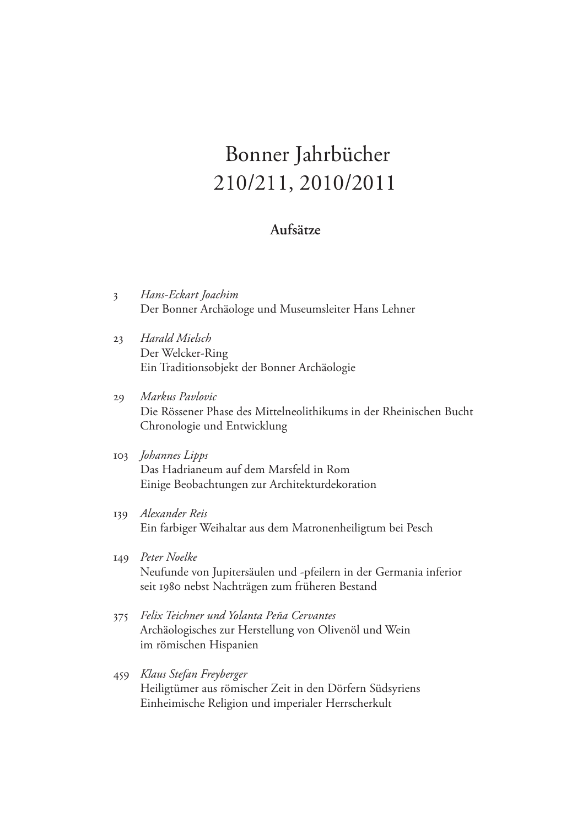## Bonner Jahrbücher 210/211, 2010/2011

## **Aufsätze**

- 3 *Hans-Eckart Joachim* Der Bonner Archäologe und Museumsleiter Hans Lehner
- 23 *Harald Mielsch* Der Welcker-Ring Ein Traditionsobjekt der Bonner Archäologie
- 29 *Markus Pavlovic* Die Rössener Phase des Mittelneolithikums in der Rheinischen Bucht Chronologie und Entwicklung
- 103 *Johannes Lipps* Das Hadrianeum auf dem Marsfeld in Rom Einige Beobachtungen zur Architekturdekoration
- 139 *Alexander Reis* Ein farbiger Weihaltar aus dem Matronenheiligtum bei Pesch
- 149 *Peter Noelke* Neufunde von Jupitersäulen und -pfeilern in der Germania inferior seit 1980 nebst Nachträgen zum früheren Bestand
- 375 *Felix Teichner und Yolanta Peña Cervantes* Archäologisches zur Herstellung von Olivenöl und Wein im römischen Hispanien
- 459 *Klaus Stefan Freyberger* Heiligtümer aus römischer Zeit in den Dörfern Südsyriens Einheimische Religion und imperialer Herrscherkult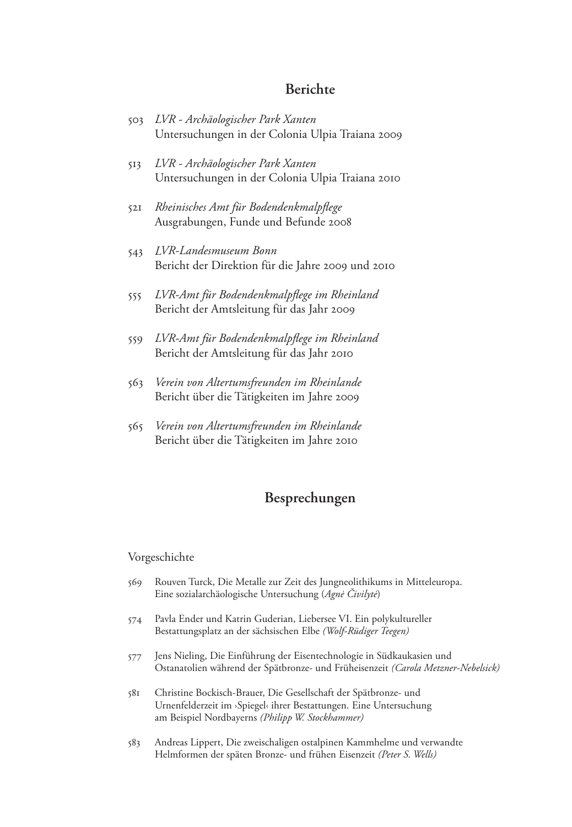### **Berichte**

- 503 *LVR Archäologischer Park Xanten* Untersuchungen in der Colonia Ulpia Traiana 2009
- 513 *LVR Archäologischer Park Xanten* Untersuchungen in der Colonia Ulpia Traiana 2010
- 521 *Rheinisches Amt für Bodendenkmalpflege* Ausgrabungen, Funde und Befunde 2008
- 543 *LVR-Landesmuseum Bonn* Bericht der Direktion für die Jahre 2009 und 2010
- 555 *LVR-Amt für Bodendenkmalpflege im Rheinland* Bericht der Amtsleitung für das Jahr 2009
- 559 *LVR-Amt für Bodendenkmalpflege im Rheinland* Bericht der Amtsleitung für das Jahr 2010
- 563 *Verein von Altertumsfreunden im Rheinlande* Bericht über die Tätigkeiten im Jahre 2009
- 565 *Verein von Altertumsfreunden im Rheinlande* Bericht über die Tätigkeiten im Jahre 2010

## **Besprechungen**

#### Vorgeschichte

- 569 Rouven Turck, Die Metalle zur Zeit des Jungneolithikums in Mitteleuropa. Eine sozialarchäologische Untersuchung (*Agnė Čivilytė*)
- 574 Pavla Ender und Katrin Guderian, Liebersee VI. Ein polykultureller Bestattungsplatz an der sächsischen Elbe *(Wolf-Rüdiger Teegen)*
- 577 Jens Nieling, Die Einführung der Eisentechnologie in Südkaukasien und Ostanatolien während der Spätbronze- und Früheisenzeit *(Carola Metzner-Nebelsick)*
- 581 Christine Bockisch-Brauer, Die Gesellschaft der Spätbronze- und Urnenfelderzeit im ›Spiegel‹ ihrer Bestattungen. Eine Untersuchung am Beispiel Nordbayerns *(Philipp W. Stockhammer)*
- 583 Andreas Lippert, Die zweischaligen ostalpinen Kammhelme und verwandte Helmformen der späten Bronze- und frühen Eisenzeit *(Peter S. Wells)*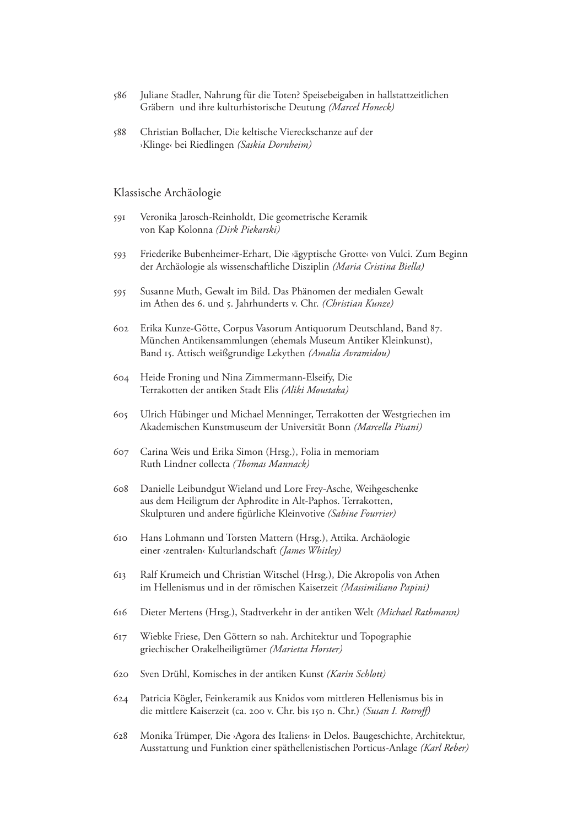- 586 Juliane Stadler, Nahrung für die Toten? Speisebeigaben in hallstattzeitlichen Gräbern und ihre kulturhistorische Deutung *(Marcel Honeck)*
- 588 Christian Bollacher, Die keltische Viereckschanze auf der ›Klinge‹ bei Riedlingen *(Saskia Dornheim)*

#### Klassische Archäologie

- 591 Veronika Jarosch-Reinholdt, Die geometrische Keramik von Kap Kolonna *(Dirk Piekarski)*
- 593 Friederike Bubenheimer-Erhart, Die ›ägyptische Grotte‹ von Vulci. Zum Beginn der Archäologie als wissenschaftliche Disziplin *(Maria Cristina Biella)*
- 595 Susanne Muth, Gewalt im Bild. Das Phänomen der medialen Gewalt im Athen des 6. und 5. Jahrhunderts v. Chr. *(Christian Kunze)*
- 602 Erika Kunze-Götte, Corpus Vasorum Antiquorum Deutschland, Band 87. München Antikensammlungen (ehemals Museum Antiker Kleinkunst), Band 15. Attisch weißgrundige Lekythen *(Amalia Avramidou)*
- 604 Heide Froning und Nina Zimmermann-Elseify, Die Terrakotten der antiken Stadt Elis *(Aliki Moustaka)*
- 605 Ulrich Hübinger und Michael Menninger, Terrakotten der Westgriechen im Akademischen Kunstmuseum der Universität Bonn *(Marcella Pisani)*
- 607 Carina Weis und Erika Simon (Hrsg.), Folia in memoriam Ruth Lindner collecta *(Thomas Mannack)*
- 608 Danielle Leibundgut Wieland und Lore Frey-Asche, Weihgeschenke aus dem Heiligtum der Aphrodite in Alt-Paphos. Terrakotten, Skulpturen und andere figürliche Kleinvotive *(Sabine Fourrier)*
- 610 Hans Lohmann und Torsten Mattern (Hrsg.), Attika. Archäologie einer ›zentralen‹ Kulturlandschaft *(James Whitley)*
- 613 Ralf Krumeich und Christian Witschel (Hrsg.), Die Akropolis von Athen im Hellenismus und in der römischen Kaiserzeit *(Massimiliano Papini)*
- 616 Dieter Mertens (Hrsg.), Stadtverkehr in der antiken Welt *(Michael Rathmann)*
- 617 Wiebke Friese, Den Göttern so nah. Architektur und Topographie griechischer Orakelheiligtümer *(Marietta Horster)*
- 620 Sven Drühl, Komisches in der antiken Kunst *(Karin Schlott)*
- 624 Patricia Kögler, Feinkeramik aus Knidos vom mittleren Hellenismus bis in die mittlere Kaiserzeit (ca. 200 v. Chr. bis 150 n. Chr.) *(Susan I. Rotroff)*
- 628 Monika Trümper, Die ›Agora des Italiens‹ in Delos. Baugeschichte, Architektur, Ausstattung und Funktion einer späthellenistischen Porticus-Anlage *(Karl Reber)*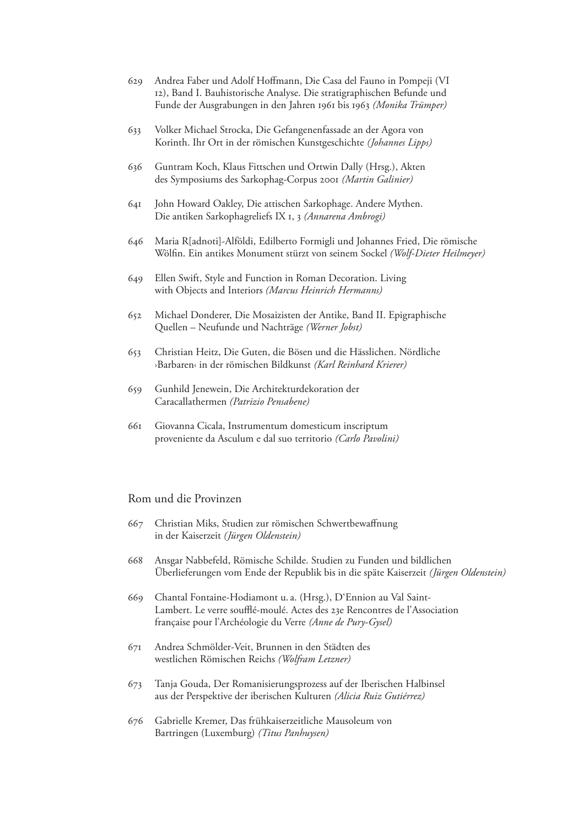- 629 Andrea Faber und Adolf Hoffmann, Die Casa del Fauno in Pompeji (VI 12), Band I. Bauhistorische Analyse. Die stratigraphischen Befunde und Funde der Ausgrabungen in den Jahren 1961 bis 1963 *(Monika Trümper)*
- 633 Volker Michael Strocka, Die Gefangenenfassade an der Agora von Korinth. Ihr Ort in der römischen Kunstgeschichte *(Johannes Lipps)*
- 636 Guntram Koch, Klaus Fittschen und Ortwin Dally (Hrsg.), Akten des Symposiums des Sarkophag-Corpus 2001 *(Martin Galinier)*
- 641 John Howard Oakley, Die attischen Sarkophage. Andere Mythen. Die antiken Sarkophagreliefs IX 1, 3 *(Annarena Ambrogi)*
- 646 Maria R[adnoti]-Alföldi, Edilberto Formigli und Johannes Fried, Die römische Wölfin. Ein antikes Monument stürzt von seinem Sockel *(Wolf-Dieter Heilmeyer)*
- 649 Ellen Swift, Style and Function in Roman Decoration. Living with Objects and Interiors *(Marcus Heinrich Hermanns)*
- 652 Michael Donderer, Die Mosaizisten der Antike, Band II. Epigraphische Quellen – Neufunde und Nachträge *(Werner Jobst)*
- 653 Christian Heitz, Die Guten, die Bösen und die Hässlichen. Nördliche ›Barbaren‹ in der römischen Bildkunst *(Karl Reinhard Krierer)*
- 659 Gunhild Jenewein, Die Architekturdekoration der Caracallathermen *(Patrizio Pensabene)*
- 661 Giovanna Cicala, Instrumentum domesticum inscriptum proveniente da Asculum e dal suo territorio *(Carlo Pavolini)*

#### Rom und die Provinzen

- 667 Christian Miks, Studien zur römischen Schwertbewaffnung in der Kaiserzeit *(Jürgen Oldenstein)*
- 668 Ansgar Nabbefeld, Römische Schilde. Studien zu Funden und bildlichen Überlieferungen vom Ende der Republik bis in die späte Kaiserzeit *(Jürgen Oldenstein)*
- 669 Chantal Fontaine-Hodiamont u. a. (Hrsg.), D'Ennion au Val Saint-Lambert. Le verre soufflé-moulé. Actes des 23e Rencontres de l'Association française pour l'Archéologie du Verre *(Anne de Pury-Gysel)*
- 671 Andrea Schmölder-Veit, Brunnen in den Städten des westlichen Römischen Reichs *(Wolfram Letzner)*
- 673 Tanja Gouda, Der Romanisierungsprozess auf der Iberischen Halbinsel aus der Perspektive der iberischen Kulturen *(Alicia Ruiz Gutiérrez)*
- 676 Gabrielle Kremer, Das frühkaiserzeitliche Mausoleum von Bartringen (Luxemburg) *(Titus Panhuysen)*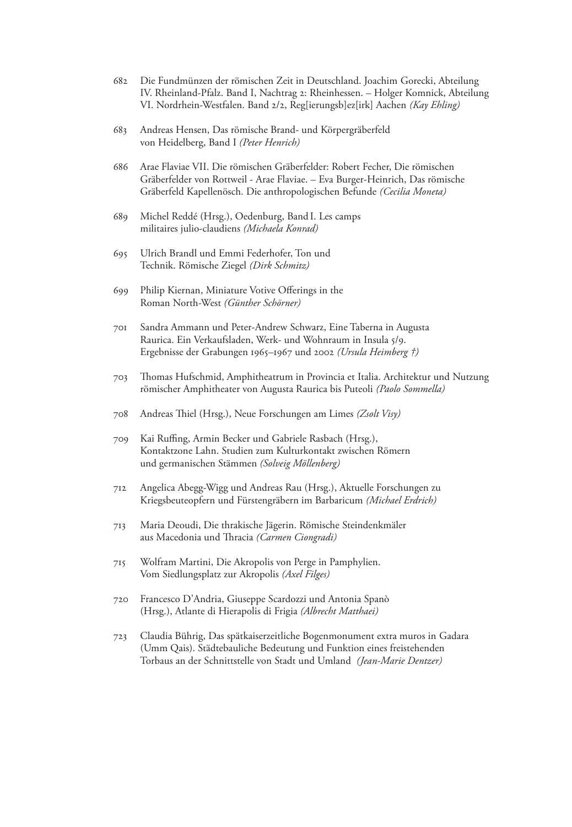- 682 Die Fundmünzen der römischen Zeit in Deutschland. Joachim Gorecki, Abteilung IV. Rheinland-Pfalz. Band I, Nachtrag 2: Rheinhessen. – Holger Komnick, Abteilung VI. Nordrhein-Westfalen. Band 2/2, Reg[ierungsb]ez[irk] Aachen *(Kay Ehling)*
- 683 Andreas Hensen, Das römische Brand- und Körpergräberfeld von Heidelberg, Band I *(Peter Henrich)*
- 686 Arae Flaviae VII. Die römischen Gräberfelder: Robert Fecher, Die römischen Gräberfelder von Rottweil - Arae Flaviae. – Eva Burger-Heinrich, Das römische Gräberfeld Kapellenösch. Die anthropologischen Befunde *(Cecilia Moneta)*
- 689 Michel Reddé (Hrsg.), Oedenburg, Band I. Les camps militaires julio-claudiens *(Michaela Konrad)*
- 695 Ulrich Brandl und Emmi Federhofer, Ton und Technik. Römische Ziegel *(Dirk Schmitz)*
- 699 Philip Kiernan, Miniature Votive Offerings in the Roman North-West *(Günther Schörner)*
- 701 Sandra Ammann und Peter-Andrew Schwarz, Eine Taberna in Augusta Raurica. Ein Verkaufsladen, Werk- und Wohnraum in Insula 5/9. Ergebnisse der Grabungen 1965–1967 und 2002 *(Ursula Heimberg †)*
- 703 Thomas Hufschmid, Amphitheatrum in Provincia et Italia. Architektur und Nutzung römischer Amphitheater von Augusta Raurica bis Puteoli *(Paolo Sommella)*
- 708 Andreas Thiel (Hrsg.), Neue Forschungen am Limes *(Zsolt Visy)*
- 709 Kai Ruffing, Armin Becker und Gabriele Rasbach (Hrsg.), Kontaktzone Lahn. Studien zum Kulturkontakt zwischen Römern und germanischen Stämmen *(Solveig Möllenberg)*
- 712 Angelica Abegg-Wigg und Andreas Rau (Hrsg.), Aktuelle Forschungen zu Kriegsbeuteopfern und Fürstengräbern im Barbaricum *(Michael Erdrich)*
- 713 Maria Deoudi, Die thrakische Jägerin. Römische Steindenkmäler aus Macedonia und Thracia *(Carmen Ciongradi)*
- 715 Wolfram Martini, Die Akropolis von Perge in Pamphylien. Vom Siedlungsplatz zur Akropolis *(Axel Filges)*
- 720 Francesco D'Andria, Giuseppe Scardozzi und Antonia Spanò (Hrsg.), Atlante di Hierapolis di Frigia *(Albrecht Matthaei)*
- 723 Claudia Bührig, Das spätkaiserzeitliche Bogenmonument extra muros in Gadara (Umm Qais). Städtebauliche Bedeutung und Funktion eines freistehenden Torbaus an der Schnittstelle von Stadt und Umland *(Jean-Marie Dentzer)*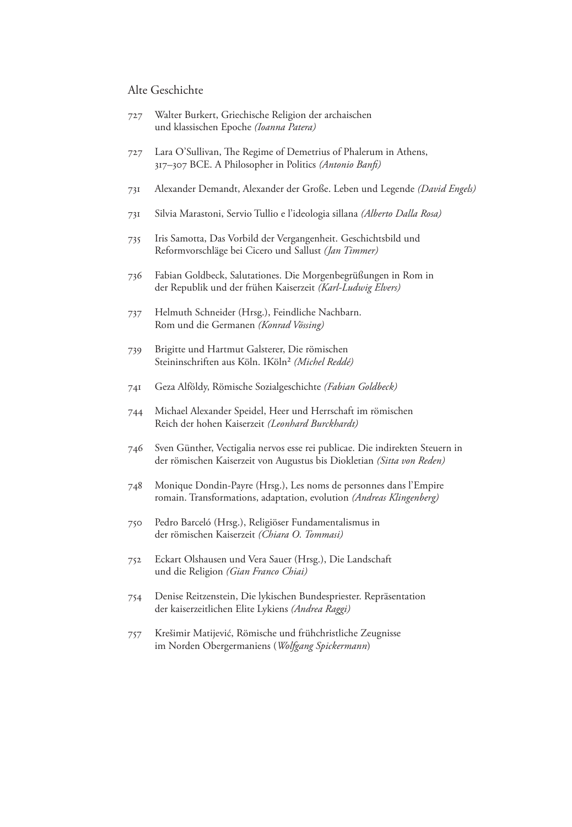#### Alte Geschichte

- 727 Walter Burkert, Griechische Religion der archaischen und klassischen Epoche *(Ioanna Patera)*
- 727 Lara O'Sullivan, The Regime of Demetrius of Phalerum in Athens, 317–307 BCE. A Philosopher in Politics *(Antonio Banfi)*
- 731 Alexander Demandt, Alexander der Große. Leben und Legende *(David Engels)*
- 731 Silvia Marastoni, Servio Tullio e l'ideologia sillana *(Alberto Dalla Rosa)*
- 735 Iris Samotta, Das Vorbild der Vergangenheit. Geschichtsbild und Reformvorschläge bei Cicero und Sallust *(Jan Timmer)*
- 736 Fabian Goldbeck, Salutationes. Die Morgenbegrüßungen in Rom in der Republik und der frühen Kaiserzeit *(Karl-Ludwig Elvers)*
- 737 Helmuth Schneider (Hrsg.), Feindliche Nachbarn. Rom und die Germanen *(Konrad Vössing)*
- 739 Brigitte und Hartmut Galsterer, Die römischen Steininschriften aus Köln. IKöln² *(Michel Reddé)*
- 741 Geza Alföldy, Römische Sozialgeschichte *(Fabian Goldbeck)*
- 744 Michael Alexander Speidel, Heer und Herrschaft im römischen Reich der hohen Kaiserzeit *(Leonhard Burckhardt)*
- 746 Sven Günther, Vectigalia nervos esse rei publicae. Die indirekten Steuern in der römischen Kaiserzeit von Augustus bis Diokletian *(Sitta von Reden)*
- 748 Monique Dondin-Payre (Hrsg.), Les noms de personnes dans l'Empire romain. Transformations, adaptation, evolution *(Andreas Klingenberg)*
- 750 Pedro Barceló (Hrsg.), Religiöser Fundamentalismus in der römischen Kaiserzeit *(Chiara O. Tommasi)*
- 752 Eckart Olshausen und Vera Sauer (Hrsg.), Die Landschaft und die Religion *(Gian Franco Chiai)*
- 754 Denise Reitzenstein, Die lykischen Bundespriester. Repräsentation der kaiserzeitlichen Elite Lykiens *(Andrea Raggi)*
- 757 Krešimir Matijević, Römische und frühchristliche Zeugnisse im Norden Obergermaniens (*Wolfgang Spickermann*)